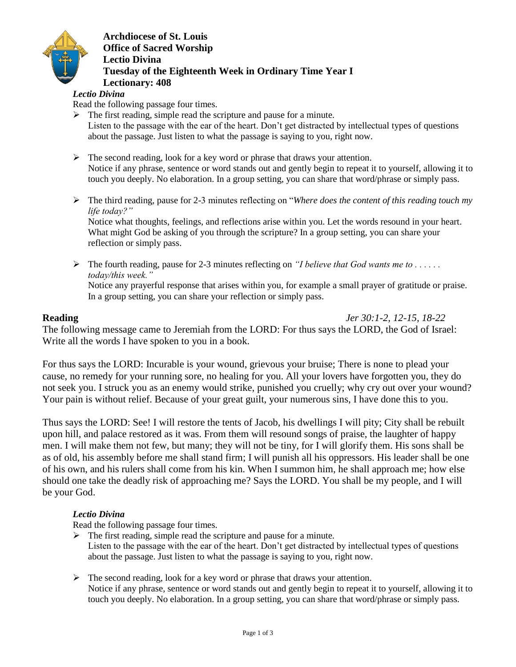

**Archdiocese of St. Louis Office of Sacred Worship Lectio Divina Tuesday of the Eighteenth Week in Ordinary Time Year I Lectionary: 408**

### *Lectio Divina*

Read the following passage four times.

- $\triangleright$  The first reading, simple read the scripture and pause for a minute. Listen to the passage with the ear of the heart. Don't get distracted by intellectual types of questions about the passage. Just listen to what the passage is saying to you, right now.
- $\triangleright$  The second reading, look for a key word or phrase that draws your attention. Notice if any phrase, sentence or word stands out and gently begin to repeat it to yourself, allowing it to touch you deeply. No elaboration. In a group setting, you can share that word/phrase or simply pass.
- The third reading, pause for 2-3 minutes reflecting on "*Where does the content of this reading touch my life today?"*

Notice what thoughts, feelings, and reflections arise within you. Let the words resound in your heart. What might God be asking of you through the scripture? In a group setting, you can share your reflection or simply pass.

 The fourth reading, pause for 2-3 minutes reflecting on *"I believe that God wants me to . . . . . . today/this week."* Notice any prayerful response that arises within you, for example a small prayer of gratitude or praise. In a group setting, you can share your reflection or simply pass.

**Reading** *Jer 30:1-2, 12-15, 18-22*

The following message came to Jeremiah from the LORD: For thus says the LORD, the God of Israel: Write all the words I have spoken to you in a book.

For thus says the LORD: Incurable is your wound, grievous your bruise; There is none to plead your cause, no remedy for your running sore, no healing for you. All your lovers have forgotten you, they do not seek you. I struck you as an enemy would strike, punished you cruelly; why cry out over your wound? Your pain is without relief. Because of your great guilt, your numerous sins, I have done this to you.

Thus says the LORD: See! I will restore the tents of Jacob, his dwellings I will pity; City shall be rebuilt upon hill, and palace restored as it was. From them will resound songs of praise, the laughter of happy men. I will make them not few, but many; they will not be tiny, for I will glorify them. His sons shall be as of old, his assembly before me shall stand firm; I will punish all his oppressors. His leader shall be one of his own, and his rulers shall come from his kin. When I summon him, he shall approach me; how else should one take the deadly risk of approaching me? Says the LORD. You shall be my people, and I will be your God.

### *Lectio Divina*

Read the following passage four times.

- $\triangleright$  The first reading, simple read the scripture and pause for a minute. Listen to the passage with the ear of the heart. Don't get distracted by intellectual types of questions about the passage. Just listen to what the passage is saying to you, right now.
- $\triangleright$  The second reading, look for a key word or phrase that draws your attention. Notice if any phrase, sentence or word stands out and gently begin to repeat it to yourself, allowing it to touch you deeply. No elaboration. In a group setting, you can share that word/phrase or simply pass.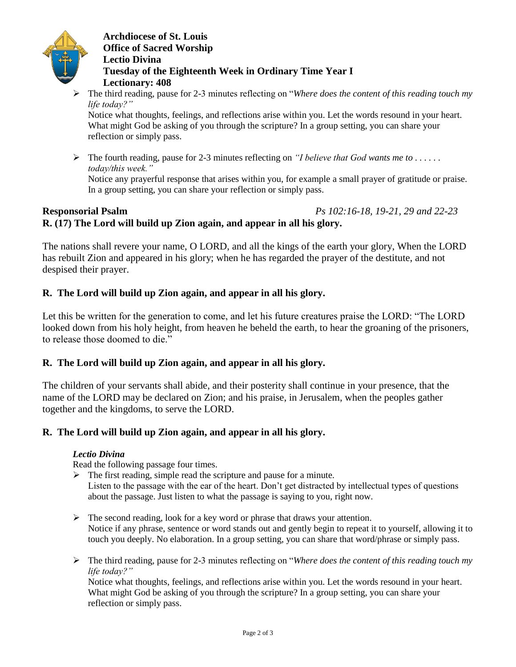

## **Archdiocese of St. Louis Office of Sacred Worship Lectio Divina Tuesday of the Eighteenth Week in Ordinary Time Year I Lectionary: 408**

 The third reading, pause for 2-3 minutes reflecting on "*Where does the content of this reading touch my life today?"*

Notice what thoughts, feelings, and reflections arise within you. Let the words resound in your heart. What might God be asking of you through the scripture? In a group setting, you can share your reflection or simply pass.

 $\triangleright$  The fourth reading, pause for 2-3 minutes reflecting on *"I believe that God wants me to ..... today/this week."*

Notice any prayerful response that arises within you, for example a small prayer of gratitude or praise. In a group setting, you can share your reflection or simply pass.

## **Responsorial Psalm** *Ps 102:16-18, 19-21, 29 and 22-23* **R. (17) The Lord will build up Zion again, and appear in all his glory.**

The nations shall revere your name, O LORD, and all the kings of the earth your glory, When the LORD has rebuilt Zion and appeared in his glory; when he has regarded the prayer of the destitute, and not despised their prayer.

## **R. The Lord will build up Zion again, and appear in all his glory.**

Let this be written for the generation to come, and let his future creatures praise the LORD: "The LORD looked down from his holy height, from heaven he beheld the earth, to hear the groaning of the prisoners, to release those doomed to die."

## **R. The Lord will build up Zion again, and appear in all his glory.**

The children of your servants shall abide, and their posterity shall continue in your presence, that the name of the LORD may be declared on Zion; and his praise, in Jerusalem, when the peoples gather together and the kingdoms, to serve the LORD.

## **R. The Lord will build up Zion again, and appear in all his glory.**

### *Lectio Divina*

Read the following passage four times.

 $\triangleright$  The first reading, simple read the scripture and pause for a minute.

Listen to the passage with the ear of the heart. Don't get distracted by intellectual types of questions about the passage. Just listen to what the passage is saying to you, right now.

- $\triangleright$  The second reading, look for a key word or phrase that draws your attention. Notice if any phrase, sentence or word stands out and gently begin to repeat it to yourself, allowing it to touch you deeply. No elaboration. In a group setting, you can share that word/phrase or simply pass.
- The third reading, pause for 2-3 minutes reflecting on "*Where does the content of this reading touch my life today?"*

Notice what thoughts, feelings, and reflections arise within you. Let the words resound in your heart. What might God be asking of you through the scripture? In a group setting, you can share your reflection or simply pass.